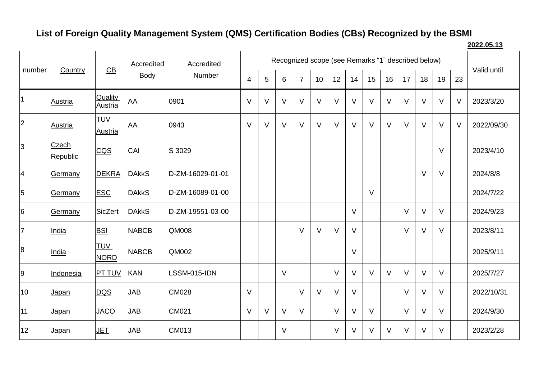## **List of Foreign Quality Management System (QMS) Certification Bodies (CBs) Recognized by the BSMI**

**2022.05.13**

<span id="page-0-0"></span>

|                |                          | Accredited                |              | Accredited       |                |        |        |                |    |        |        |        |        |        |        |        |        |             |
|----------------|--------------------------|---------------------------|--------------|------------------|----------------|--------|--------|----------------|----|--------|--------|--------|--------|--------|--------|--------|--------|-------------|
| number         | Country                  | $CB$                      | Body         | Number           | $\overline{4}$ | 5      | 6      | $\overline{7}$ | 10 | 12     | 14     | 15     | 16     | 17     | 18     | 19     | 23     | Valid until |
| 1              | <b>Austria</b>           | Quality<br>Austria        | AA           | 0901             | $\vee$         | $\vee$ | $\vee$ | $\vee$         | V  | $\vee$ | $\vee$ | $\vee$ | $\vee$ | $\vee$ | $\vee$ | $\vee$ | $\vee$ | 2023/3/20   |
| 2              | <b>Austria</b>           | TUV<br>Austria            | AA           | 0943             | $\vee$         | $\vee$ | V      | $\vee$         | V  | $\vee$ | $\vee$ | $\vee$ | V      | $\vee$ | $\vee$ | $\vee$ | $\vee$ | 2022/09/30  |
| 3              | Czech<br><b>Republic</b> | CQS                       | CAI          | S 3029           |                |        |        |                |    |        |        |        |        |        |        | $\vee$ |        | 2023/4/10   |
| $\overline{4}$ | Germany                  | <b>DEKRA</b>              | <b>DAkkS</b> | D-ZM-16029-01-01 |                |        |        |                |    |        |        |        |        |        | $\vee$ | $\vee$ |        | 2024/8/8    |
| 5              | Germany                  | <b>ESC</b>                | <b>DAKKS</b> | D-ZM-16089-01-00 |                |        |        |                |    |        |        | $\vee$ |        |        |        |        |        | 2024/7/22   |
| 6              | Germany                  | SicZert                   | <b>DAkkS</b> | D-ZM-19551-03-00 |                |        |        |                |    |        | $\vee$ |        |        | $\vee$ | $\vee$ | $\vee$ |        | 2024/9/23   |
| 17             | India                    | <b>BSI</b>                | <b>NABCB</b> | <b>QM008</b>     |                |        |        | $\vee$         | V  | $\vee$ | $\vee$ |        |        | V      | $\vee$ | $\vee$ |        | 2023/8/11   |
| 8              | India                    | <b>TUV</b><br><b>NORD</b> | <b>NABCB</b> | <b>QM002</b>     |                |        |        |                |    |        | $\vee$ |        |        |        |        |        |        | 2025/9/11   |
| 9              | Indonesia                | <b>PT TUV</b>             | <b>KAN</b>   | LSSM-015-IDN     |                |        | $\vee$ |                |    | $\vee$ | $\vee$ | $\vee$ | $\vee$ | V      | $\vee$ | $\vee$ |        | 2025/7/27   |
| 10             | Japan                    | <b>DQS</b>                | <b>JAB</b>   | CM028            | $\vee$         |        |        | $\vee$         | V  | $\vee$ | $\vee$ |        |        | V      | V      | $\vee$ |        | 2022/10/31  |
| 11             | <u>Japan</u>             | <b>JACO</b>               | <b>JAB</b>   | <b>CM021</b>     | $\vee$         | V      | V      | V              |    | $\vee$ | $\vee$ | V      |        | $\vee$ | $\vee$ | $\vee$ |        | 2024/9/30   |
| 12             | Japan                    | JET                       | <b>JAB</b>   | <b>CM013</b>     |                |        | $\vee$ |                |    | $\vee$ | $\vee$ | $\vee$ | V      | V      | $\vee$ | $\vee$ |        | 2023/2/28   |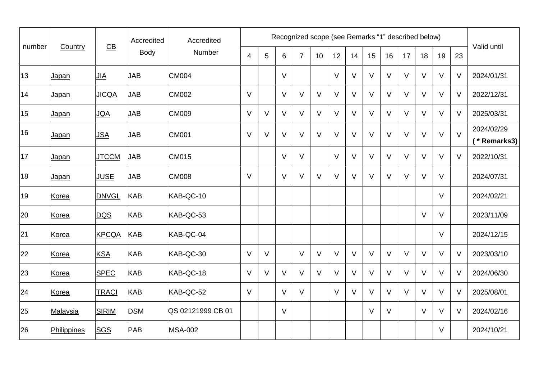|        |             |              | Accredited<br>Accredited |                   |                |        | Valid until |                |        |        |        |        |        |        |        |        |        |                            |
|--------|-------------|--------------|--------------------------|-------------------|----------------|--------|-------------|----------------|--------|--------|--------|--------|--------|--------|--------|--------|--------|----------------------------|
| number | Country     | CB           | Body                     | Number            | $\overline{4}$ | 5      | 6           | $\overline{7}$ | 10     | 12     | 14     | 15     | 16     | 17     | 18     | 19     | 23     |                            |
| 13     | Japan       | JIA          | <b>JAB</b>               | <b>CM004</b>      |                |        | $\vee$      |                |        | $\vee$ | $\vee$ | $\vee$ | $\vee$ | V      | V      | $\vee$ | $\vee$ | 2024/01/31                 |
| 14     | Japan       | <b>JICQA</b> | <b>JAB</b>               | <b>CM002</b>      | $\vee$         |        | $\vee$      | $\vee$         | $\vee$ | $\vee$ | $\vee$ | $\vee$ | $\vee$ | $\vee$ | $\vee$ | $\vee$ | $\vee$ | 2022/12/31                 |
| 15     | Japan       | <b>JQA</b>   | <b>JAB</b>               | <b>CM009</b>      | $\vee$         | $\vee$ | $\vee$      | $\vee$         | $\vee$ | $\vee$ | $\vee$ | $\vee$ | $\vee$ | $\vee$ | $\vee$ | $\vee$ | $\vee$ | 2025/03/31                 |
| 16     | Japan       | <u>JSA</u>   | <b>JAB</b>               | <b>CM001</b>      | $\vee$         | $\vee$ | $\vee$      | $\vee$         | $\vee$ | $\vee$ | $\vee$ | $\vee$ | $\vee$ | $\vee$ | $\vee$ | $\vee$ | $\vee$ | 2024/02/29<br>(* Remarks3) |
| 17     | Japan       | <b>JTCCM</b> | <b>JAB</b>               | <b>CM015</b>      |                |        | V           | V              |        | $\vee$ | $\vee$ | $\vee$ | $\vee$ | V      | $\vee$ | $\vee$ | $\vee$ | 2022/10/31                 |
| 18     | Japan       | <b>JUSE</b>  | <b>JAB</b>               | <b>CM008</b>      | $\vee$         |        | $\vee$      | $\vee$         | $\vee$ | $\vee$ | $\vee$ | $\vee$ | $\vee$ | V      | $\vee$ | $\vee$ |        | 2024/07/31                 |
| 19     | Korea       | <b>DNVGL</b> | <b>KAB</b>               | KAB-QC-10         |                |        |             |                |        |        |        |        |        |        |        | $\vee$ |        | 2024/02/21                 |
| 20     | Korea       | <b>DQS</b>   | <b>KAB</b>               | KAB-QC-53         |                |        |             |                |        |        |        |        |        |        | $\vee$ | $\vee$ |        | 2023/11/09                 |
| 21     | Korea       | KPCQA        | <b>KAB</b>               | KAB-QC-04         |                |        |             |                |        |        |        |        |        |        |        | $\vee$ |        | 2024/12/15                 |
| 22     | Korea       | <b>KSA</b>   | <b>KAB</b>               | KAB-QC-30         | $\vee$         | $\vee$ |             | $\vee$         | $\vee$ | $\vee$ | $\vee$ | $\vee$ | $\vee$ | V      | $\vee$ | $\vee$ | $\vee$ | 2023/03/10                 |
| 23     | Korea       | <b>SPEC</b>  | <b>KAB</b>               | KAB-QC-18         | $\vee$         | $\vee$ | $\vee$      | $\vee$         | $\vee$ | $\vee$ | $\vee$ | $\vee$ | $\vee$ | $\vee$ | $\vee$ | $\vee$ | $\vee$ | 2024/06/30                 |
| 24     | Korea       | <b>TRACI</b> | <b>KAB</b>               | KAB-QC-52         | $\vee$         |        | $\vee$      | $\vee$         |        | $\vee$ | $\vee$ | $\vee$ | $\vee$ | V      | $\vee$ | $\vee$ | $\vee$ | 2025/08/01                 |
| 25     | Malaysia    | <b>SIRIM</b> | <b>DSM</b>               | QS 02121999 CB 01 |                |        | $\vee$      |                |        |        |        | $\vee$ | $\vee$ |        | $\vee$ | $\vee$ | $\vee$ | 2024/02/16                 |
| 26     | Philippines | <b>SGS</b>   | PAB                      | <b>MSA-002</b>    |                |        |             |                |        |        |        |        |        |        |        | $\vee$ |        | 2024/10/21                 |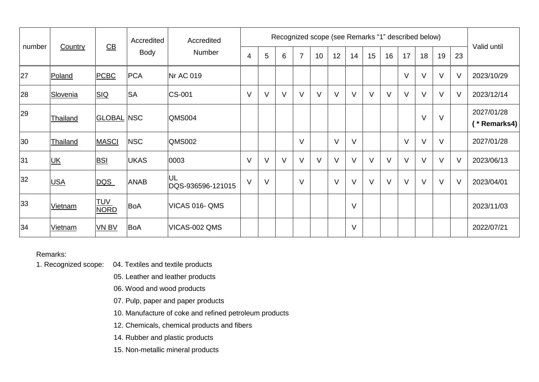|        |                           |                           | Accredited  | Accredited                     |        | Recognized scope (see Remarks "1" described below) |        |                |        |        |        |        |        |        |        |        |        |                            |  |
|--------|---------------------------|---------------------------|-------------|--------------------------------|--------|----------------------------------------------------|--------|----------------|--------|--------|--------|--------|--------|--------|--------|--------|--------|----------------------------|--|
| number | Country                   | $\underline{\mathsf{CB}}$ | <b>Body</b> | Number                         | 4      | 5                                                  | 6      | $\overline{7}$ | 10     | 12     | 14     | 15     | 16     | 17     | 18     | 19     | 23     | Valid until                |  |
| 27     | Poland                    | <b>PCBC</b>               | <b>PCA</b>  | <b>Nr AC 019</b>               |        |                                                    |        |                |        |        |        |        |        | $\vee$ | $\vee$ | $\vee$ | $\vee$ | 2023/10/29                 |  |
| 28     | Slovenia                  | <b>SIQ</b>                | <b>SA</b>   | $ CS-001$                      | $\vee$ | $\vee$                                             | V      | $\vee$         | $\vee$ | $\vee$ | $\vee$ | $\vee$ | $\vee$ | V      | $\vee$ | $\vee$ | $\vee$ | 2023/12/14                 |  |
| 29     | Thailand                  | <b>GLOBAL</b>             | <b>NSC</b>  | QMS004                         |        |                                                    |        |                |        |        |        |        |        |        | $\vee$ | $\vee$ |        | 2027/01/28<br>(* Remarks4) |  |
| 30     | Thailand                  | <b>MASCI</b>              | <b>NSC</b>  | QMS002                         |        |                                                    |        | $\vee$         |        | $\vee$ | $\vee$ |        |        | $\vee$ | $\vee$ | $\vee$ |        | 2027/01/28                 |  |
| 31     | $\underline{\mathsf{UK}}$ | <b>BSI</b>                | <b>UKAS</b> | 0003                           | $\vee$ | V                                                  | $\vee$ | $\vee$         |        | $\vee$ | $\vee$ | $\vee$ | $\vee$ |        | $\vee$ | V      | $\vee$ | 2023/06/13                 |  |
| 32     | <b>USA</b>                | DQS                       | <b>ANAB</b> | <b>UL</b><br>DQS-936596-121015 | $\vee$ | $\vee$                                             |        | $\vee$         |        | $\vee$ | $\vee$ | $\vee$ | $\vee$ | $\vee$ | $\vee$ | $\vee$ | $\vee$ | 2023/04/01                 |  |
| 33     | Vietnam                   | <b>TUV</b><br><b>NORD</b> | BoA         | VICAS 016- QMS                 |        |                                                    |        |                |        |        | $\vee$ |        |        |        |        |        |        | 2023/11/03                 |  |
| 34     | Vietnam                   | VN BV                     | BoA         | VICAS-002 QMS                  |        |                                                    |        |                |        |        | V      |        |        |        |        |        |        | 2022/07/21                 |  |

Remarks:

- 1. Recognized scope: 04. Textiles and textile products
	- 05. Leather and leather products
	- 06. Wood and wood products
	- 07. Pulp, paper and paper products
	- 10. Manufacture of coke and refined petroleum products
	- 12. Chemicals, chemical products and fibers
	- 14. Rubber and plastic products
	- 15. Non-metallic mineral products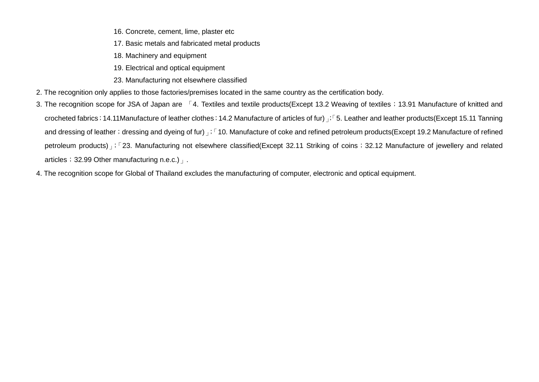- 16. Concrete, cement, lime, plaster etc
- 17. Basic metals and fabricated metal products
- 18. Machinery and equipment
- 19. Electrical and optical equipment
- 23. Manufacturing not elsewhere classified
- 2. The recognition only applies to those factories/premises located in the same country as the certification body.
- 3. The recognition scope for JSA of Japan are [4]. Textiles and textile products(Except 13.2 Weaving of textiles; 13.91 Manufacture of knitted and crocheted fabrics;14.11Manufacture of leather clothes;14.2 Manufacture of articles of fur);<sup>[5]</sup>. Leather and leather products(Except 15.11 Tanning and dressing of leather; dressing and dyeing of fur); T10. Manufacture of coke and refined petroleum products(Except 19.2 Manufacture of refined petroleum products);<sup>†</sup>23. Manufacturing not elsewhere classified(Except 32.11 Striking of coins; 32.12 Manufacture of jewellery and related articles; 32.99 Other manufacturing n.e.c.)  $\frac{1}{1}$ .
- 4. The recognition scope for Global of Thailand excludes the manufacturing of computer, electronic and optical equipment.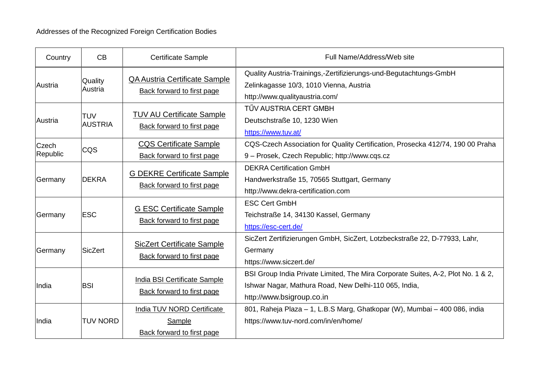<span id="page-4-7"></span><span id="page-4-6"></span><span id="page-4-5"></span><span id="page-4-4"></span><span id="page-4-3"></span><span id="page-4-2"></span><span id="page-4-1"></span><span id="page-4-0"></span>

| Country           | CB                           | <b>Certificate Sample</b>                                                 | Full Name/Address/Web site                                                                                                                                             |
|-------------------|------------------------------|---------------------------------------------------------------------------|------------------------------------------------------------------------------------------------------------------------------------------------------------------------|
| Austria           | Quality<br>Austria           | <b>QA Austria Certificate Sample</b><br><b>Back forward to first page</b> | Quality Austria-Trainings,-Zertifizierungs-und-Begutachtungs-GmbH<br>Zelinkagasse 10/3, 1010 Vienna, Austria<br>http://www.qualityaustria.com/                         |
| Austria           | <b>TUV</b><br><b>AUSTRIA</b> | <b>TUV AU Certificate Sample</b><br><b>Back forward to first page</b>     | TŰV AUSTRIA CERT GMBH<br>Deutschstraße 10, 1230 Wien<br>https://www.tuv.at/                                                                                            |
| Czech<br>Republic | CQS                          | <b>CQS Certificate Sample</b><br>Back forward to first page               | CQS-Czech Association for Quality Certification, Prosecka 412/74, 190 00 Praha<br>9 - Prosek, Czech Republic; http://www.cqs.cz                                        |
| Germany           | <b>DEKRA</b>                 | <b>G DEKRE Certificate Sample</b><br><b>Back forward to first page</b>    | <b>DEKRA Certification GmbH</b><br>Handwerkstraße 15, 70565 Stuttgart, Germany<br>http://www.dekra-certification.com                                                   |
| Germany           | <b>ESC</b>                   | <b>G ESC Certificate Sample</b><br><b>Back forward to first page</b>      | <b>ESC Cert GmbH</b><br>Teichstraße 14, 34130 Kassel, Germany<br>https://esc-cert.de/                                                                                  |
| Germany           | SicZert                      | <b>SicZert Certificate Sample</b><br>Back forward to first page           | SicZert Zertifizierungen GmbH, SicZert, Lotzbeckstraße 22, D-77933, Lahr,<br>Germany<br>https://www.siczert.de/                                                        |
| India             | <b>BSI</b>                   | India BSI Certificate Sample<br><b>Back forward to first page</b>         | BSI Group India Private Limited, The Mira Corporate Suites, A-2, Plot No. 1 & 2,<br>Ishwar Nagar, Mathura Road, New Delhi-110 065, India,<br>http://www.bsigroup.co.in |
| India             | <b>TUV NORD</b>              | India TUV NORD Certificate<br>Sample<br><b>Back forward to first page</b> | 801, Raheja Plaza - 1, L.B.S Marg, Ghatkopar (W), Mumbai - 400 086, india<br>https://www.tuv-nord.com/in/en/home/                                                      |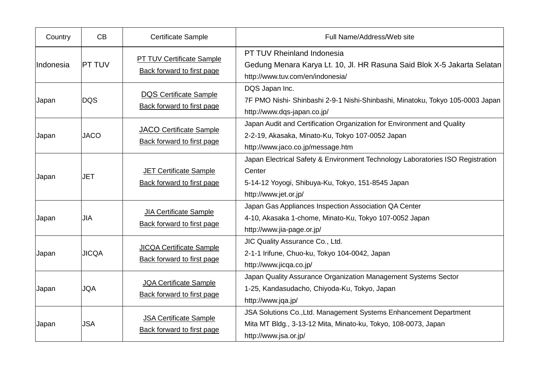<span id="page-5-7"></span><span id="page-5-6"></span><span id="page-5-5"></span><span id="page-5-4"></span><span id="page-5-3"></span><span id="page-5-2"></span><span id="page-5-1"></span><span id="page-5-0"></span>

| Country   | CB            | <b>Certificate Sample</b>                                             | Full Name/Address/Web site                                                                                                                                             |
|-----------|---------------|-----------------------------------------------------------------------|------------------------------------------------------------------------------------------------------------------------------------------------------------------------|
| Indonesia | <b>PT TUV</b> | <b>PT TUV Certificate Sample</b><br><b>Back forward to first page</b> | PT TUV Rheinland Indonesia<br>Gedung Menara Karya Lt. 10, Jl. HR Rasuna Said Blok X-5 Jakarta Selatan<br>http://www.tuv.com/en/indonesia/                              |
| Japan     | <b>DQS</b>    | <b>DQS Certificate Sample</b><br><b>Back forward to first page</b>    | DQS Japan Inc.<br>7F PMO Nishi- Shinbashi 2-9-1 Nishi-Shinbashi, Minatoku, Tokyo 105-0003 Japan<br>http://www.dqs-japan.co.jp/                                         |
| Japan     | <b>JACO</b>   | <b>JACO Certificate Sample</b><br>Back forward to first page          | Japan Audit and Certification Organization for Environment and Quality<br>2-2-19, Akasaka, Minato-Ku, Tokyo 107-0052 Japan<br>http://www.jaco.co.jp/message.htm        |
| Japan     | <b>JET</b>    | <b>JET Certificate Sample</b><br><b>Back forward to first page</b>    | Japan Electrical Safety & Environment Technology Laboratories ISO Registration<br>Center<br>5-14-12 Yoyogi, Shibuya-Ku, Tokyo, 151-8545 Japan<br>http://www.jet.or.jp/ |
| Japan     | <b>JIA</b>    | <b>JIA Certificate Sample</b><br><b>Back forward to first page</b>    | Japan Gas Appliances Inspection Association QA Center<br>4-10, Akasaka 1-chome, Minato-Ku, Tokyo 107-0052 Japan<br>http://www.jia-page.or.jp/                          |
| Japan     | <b>JICQA</b>  | <b>JICQA Certificate Sample</b><br><b>Back forward to first page</b>  | JIC Quality Assurance Co., Ltd.<br>2-1-1 Irifune, Chuo-ku, Tokyo 104-0042, Japan<br>http://www.jicqa.co.jp/                                                            |
| Japan     | <b>JQA</b>    | <b>JQA Certificate Sample</b><br><b>Back forward to first page</b>    | Japan Quality Assurance Organization Management Systems Sector<br>1-25, Kandasudacho, Chiyoda-Ku, Tokyo, Japan<br>http://www.jqa.jp/                                   |
| Japan     | <b>JSA</b>    | <b>JSA Certificate Sample</b><br><b>Back forward to first page</b>    | JSA Solutions Co., Ltd. Management Systems Enhancement Department<br>Mita MT Bldg., 3-13-12 Mita, Minato-ku, Tokyo, 108-0073, Japan<br>http://www.jsa.or.jp/           |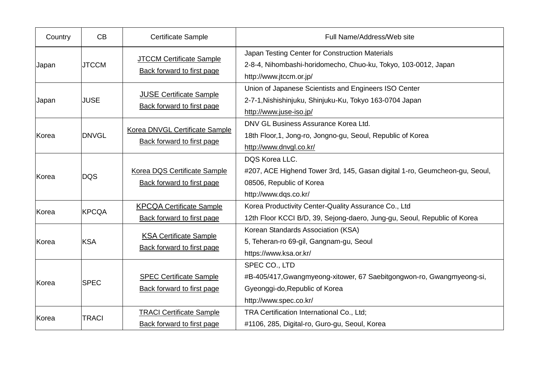<span id="page-6-6"></span><span id="page-6-5"></span><span id="page-6-4"></span><span id="page-6-3"></span><span id="page-6-2"></span><span id="page-6-1"></span><span id="page-6-0"></span>

| Country | CB           | <b>Certificate Sample</b>                                            | Full Name/Address/Web site                                                                                                                         |
|---------|--------------|----------------------------------------------------------------------|----------------------------------------------------------------------------------------------------------------------------------------------------|
| Japan   | <b>JTCCM</b> | <b>JTCCM Certificate Sample</b><br><b>Back forward to first page</b> | Japan Testing Center for Construction Materials<br>2-8-4, Nihombashi-horidomecho, Chuo-ku, Tokyo, 103-0012, Japan<br>http://www.jtccm.or.jp/       |
| Japan   | <b>JUSE</b>  | <b>JUSE Certificate Sample</b><br><b>Back forward to first page</b>  | Union of Japanese Scientists and Engineers ISO Center<br>2-7-1, Nishishinjuku, Shinjuku-Ku, Tokyo 163-0704 Japan<br>http://www.juse-iso.jp/        |
| Korea   | <b>DNVGL</b> | Korea DNVGL Certificate Sample<br><b>Back forward to first page</b>  | DNV GL Business Assurance Korea Ltd.<br>18th Floor, 1, Jong-ro, Jongno-gu, Seoul, Republic of Korea<br>http://www.dnvgl.co.kr/                     |
| Korea   | <b>DQS</b>   | Korea DQS Certificate Sample<br><b>Back forward to first page</b>    | DQS Korea LLC.<br>#207, ACE Highend Tower 3rd, 145, Gasan digital 1-ro, Geumcheon-gu, Seoul,<br>08506, Republic of Korea<br>http://www.dqs.co.kr/  |
| Korea   | <b>KPCQA</b> | <b>KPCQA Certificate Sample</b><br><b>Back forward to first page</b> | Korea Productivity Center-Quality Assurance Co., Ltd<br>12th Floor KCCI B/D, 39, Sejong-daero, Jung-gu, Seoul, Republic of Korea                   |
| Korea   | <b>KSA</b>   | <b>KSA Certificate Sample</b><br><b>Back forward to first page</b>   | Korean Standards Association (KSA)<br>5, Teheran-ro 69-gil, Gangnam-gu, Seoul<br>https://www.ksa.or.kr/                                            |
| Korea   | <b>SPEC</b>  | <b>SPEC Certificate Sample</b><br><b>Back forward to first page</b>  | SPEC CO., LTD<br>#B-405/417, Gwangmyeong-xitower, 67 Saebitgongwon-ro, Gwangmyeong-si,<br>Gyeonggi-do, Republic of Korea<br>http://www.spec.co.kr/ |
| Korea   | <b>TRACI</b> | <b>TRACI Certificate Sample</b><br><b>Back forward to first page</b> | TRA Certification International Co., Ltd;<br>#1106, 285, Digital-ro, Guro-gu, Seoul, Korea                                                         |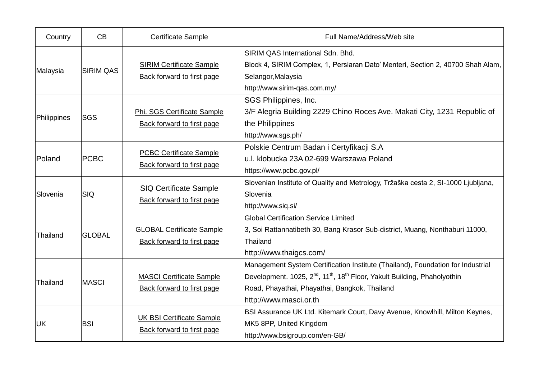<span id="page-7-6"></span><span id="page-7-5"></span><span id="page-7-4"></span><span id="page-7-3"></span><span id="page-7-2"></span><span id="page-7-1"></span><span id="page-7-0"></span>

| Country     | CB               | <b>Certificate Sample</b>                                             | Full Name/Address/Web site                                                                                                                                                                                                                                                  |
|-------------|------------------|-----------------------------------------------------------------------|-----------------------------------------------------------------------------------------------------------------------------------------------------------------------------------------------------------------------------------------------------------------------------|
| Malaysia    | <b>SIRIM QAS</b> | <b>SIRIM Certificate Sample</b><br><b>Back forward to first page</b>  | SIRIM QAS International Sdn. Bhd.<br>Block 4, SIRIM Complex, 1, Persiaran Dato' Menteri, Section 2, 40700 Shah Alam,<br>Selangor, Malaysia<br>http://www.sirim-qas.com.my/                                                                                                  |
| Philippines | <b>SGS</b>       | Phi. SGS Certificate Sample<br><b>Back forward to first page</b>      | SGS Philippines, Inc.<br>3/F Alegria Building 2229 Chino Roces Ave. Makati City, 1231 Republic of<br>the Philippines<br>http://www.sgs.ph/                                                                                                                                  |
| Poland      | <b>PCBC</b>      | <b>PCBC Certificate Sample</b><br>Back forward to first page          | Polskie Centrum Badan i Certyfikacji S.A<br>u.l. klobucka 23A 02-699 Warszawa Poland<br>https://www.pcbc.gov.pl/                                                                                                                                                            |
| Slovenia    | <b>SIQ</b>       | <b>SIQ Certificate Sample</b><br>Back forward to first page           | Slovenian Institute of Quality and Metrology, Tržaška cesta 2, SI-1000 Ljubljana,<br>Slovenia<br>http://www.siq.si/                                                                                                                                                         |
| Thailand    | <b>GLOBAL</b>    | <b>GLOBAL Certificate Sample</b><br>Back forward to first page        | <b>Global Certification Service Limited</b><br>3, Soi Rattannatibeth 30, Bang Krasor Sub-district, Muang, Nonthaburi 11000,<br>Thailand<br>http://www.thaigcs.com/                                                                                                          |
| Thailand    | <b>MASCI</b>     | <b>MASCI Certificate Sample</b><br><b>Back forward to first page</b>  | Management System Certification Institute (Thailand), Foundation for Industrial<br>Development. 1025, 2 <sup>nd</sup> , 11 <sup>th</sup> , 18 <sup>th</sup> Floor, Yakult Building, Phaholyothin<br>Road, Phayathai, Phayathai, Bangkok, Thailand<br>http://www.masci.or.th |
| <b>UK</b>   | <b>BSI</b>       | <b>UK BSI Certificate Sample</b><br><b>Back forward to first page</b> | BSI Assurance UK Ltd. Kitemark Court, Davy Avenue, Knowlhill, Milton Keynes,<br>MK5 8PP, United Kingdom<br>http://www.bsigroup.com/en-GB/                                                                                                                                   |